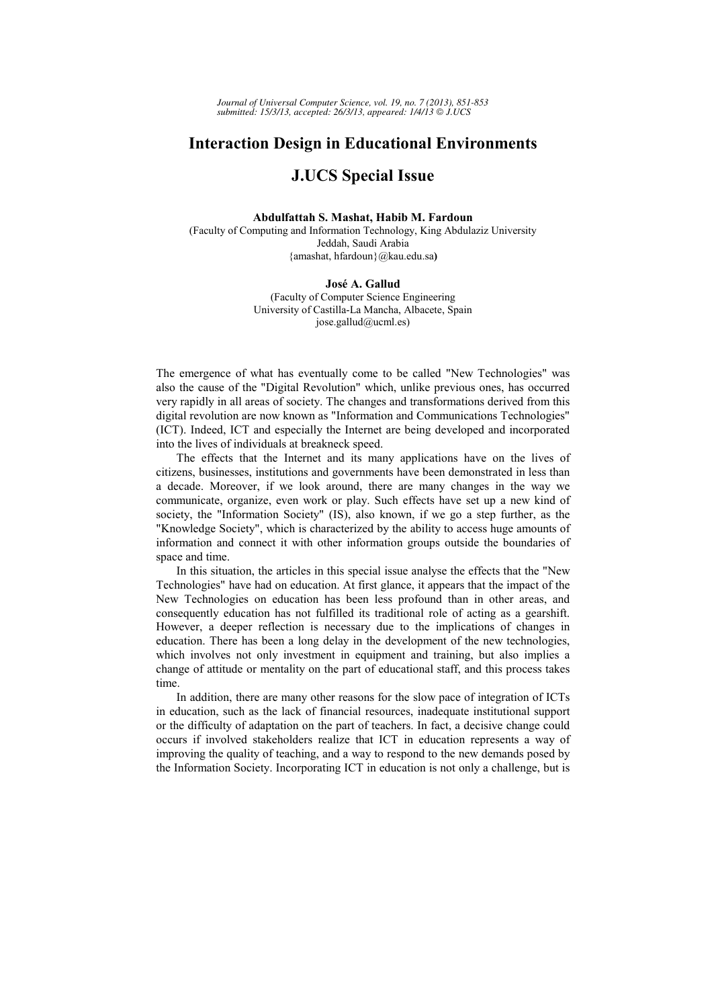*Journal of Universal Computer Science, vol. 19, no. 7 (2013), 851-853 submitted: 15/3/13, accepted: 26/3/13, appeared: 1/4/13 J.UCS*

## **Interaction Design in Educational Environments**

## **J.UCS Special Issue**

## **Abdulfattah S. Mashat, Habib M. Fardoun**

(Faculty of Computing and Information Technology, King Abdulaziz University Jeddah, Saudi Arabia {amashat, hfardoun}@kau.edu.sa**)**

## **José A. Gallud**

(Faculty of Computer Science Engineering University of Castilla-La Mancha, Albacete, Spain jose.gallud@ucml.es)

The emergence of what has eventually come to be called "New Technologies" was also the cause of the "Digital Revolution" which, unlike previous ones, has occurred very rapidly in all areas of society. The changes and transformations derived from this digital revolution are now known as "Information and Communications Technologies" (ICT). Indeed, ICT and especially the Internet are being developed and incorporated into the lives of individuals at breakneck speed.

The effects that the Internet and its many applications have on the lives of citizens, businesses, institutions and governments have been demonstrated in less than a decade. Moreover, if we look around, there are many changes in the way we communicate, organize, even work or play. Such effects have set up a new kind of society, the "Information Society" (IS), also known, if we go a step further, as the "Knowledge Society", which is characterized by the ability to access huge amounts of information and connect it with other information groups outside the boundaries of space and time.

In this situation, the articles in this special issue analyse the effects that the "New Technologies" have had on education. At first glance, it appears that the impact of the New Technologies on education has been less profound than in other areas, and consequently education has not fulfilled its traditional role of acting as a gearshift. However, a deeper reflection is necessary due to the implications of changes in education. There has been a long delay in the development of the new technologies, which involves not only investment in equipment and training, but also implies a change of attitude or mentality on the part of educational staff, and this process takes time.

In addition, there are many other reasons for the slow pace of integration of ICTs in education, such as the lack of financial resources, inadequate institutional support or the difficulty of adaptation on the part of teachers. In fact, a decisive change could occurs if involved stakeholders realize that ICT in education represents a way of improving the quality of teaching, and a way to respond to the new demands posed by the Information Society. Incorporating ICT in education is not only a challenge, but is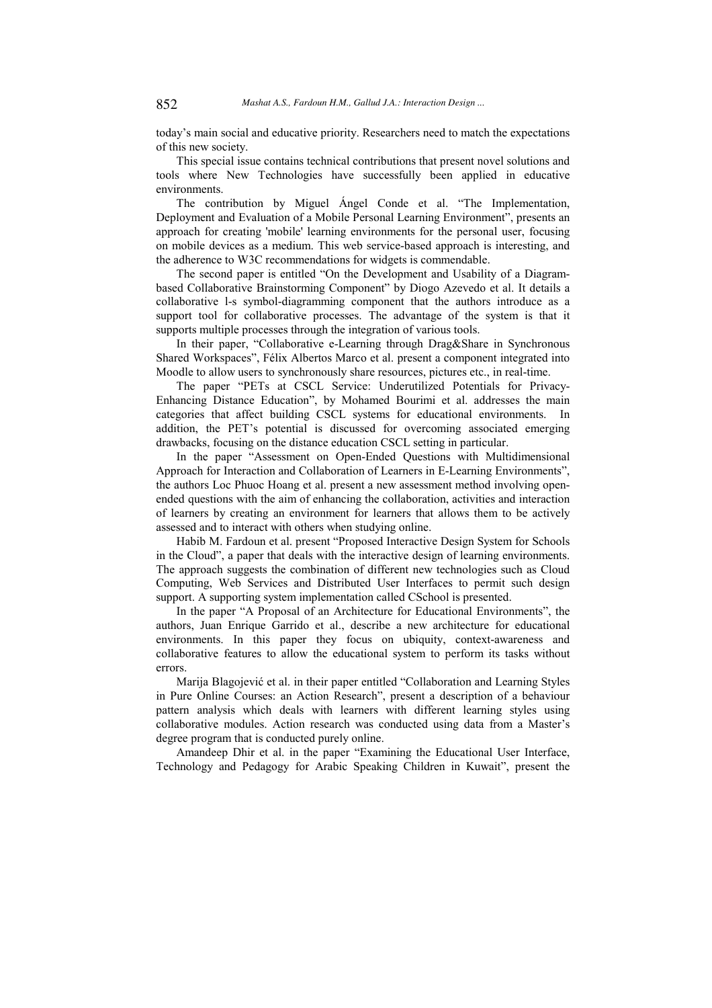today's main social and educative priority. Researchers need to match the expectations of this new society.

This special issue contains technical contributions that present novel solutions and tools where New Technologies have successfully been applied in educative environments.

The contribution by Miguel Ángel Conde et al. "The Implementation, Deployment and Evaluation of a Mobile Personal Learning Environment", presents an approach for creating 'mobile' learning environments for the personal user, focusing on mobile devices as a medium. This web service-based approach is interesting, and the adherence to W3C recommendations for widgets is commendable.

The second paper is entitled "On the Development and Usability of a Diagrambased Collaborative Brainstorming Component" by Diogo Azevedo et al. It details a collaborative l-s symbol-diagramming component that the authors introduce as a support tool for collaborative processes. The advantage of the system is that it supports multiple processes through the integration of various tools.

In their paper, "Collaborative e-Learning through Drag&Share in Synchronous Shared Workspaces", Félix Albertos Marco et al. present a component integrated into Moodle to allow users to synchronously share resources, pictures etc., in real-time.

The paper "PETs at CSCL Service: Underutilized Potentials for Privacy-Enhancing Distance Education", by Mohamed Bourimi et al. addresses the main categories that affect building CSCL systems for educational environments. In addition, the PET's potential is discussed for overcoming associated emerging drawbacks, focusing on the distance education CSCL setting in particular.

In the paper "Assessment on Open-Ended Questions with Multidimensional Approach for Interaction and Collaboration of Learners in E-Learning Environments", the authors Loc Phuoc Hoang et al. present a new assessment method involving openended questions with the aim of enhancing the collaboration, activities and interaction of learners by creating an environment for learners that allows them to be actively assessed and to interact with others when studying online.

Habib M. Fardoun et al. present "Proposed Interactive Design System for Schools in the Cloud", a paper that deals with the interactive design of learning environments. The approach suggests the combination of different new technologies such as Cloud Computing, Web Services and Distributed User Interfaces to permit such design support. A supporting system implementation called CSchool is presented.

In the paper "A Proposal of an Architecture for Educational Environments", the authors, Juan Enrique Garrido et al., describe a new architecture for educational environments. In this paper they focus on ubiquity, context-awareness and collaborative features to allow the educational system to perform its tasks without errors.

Marija Blagojević et al. in their paper entitled "Collaboration and Learning Styles in Pure Online Courses: an Action Research", present a description of a behaviour pattern analysis which deals with learners with different learning styles using collaborative modules. Action research was conducted using data from a Master's degree program that is conducted purely online.

Amandeep Dhir et al. in the paper "Examining the Educational User Interface, Technology and Pedagogy for Arabic Speaking Children in Kuwait", present the